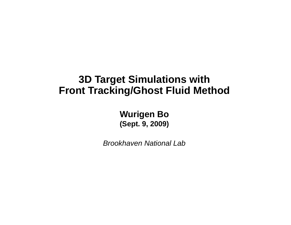#### **3D Target Simulations with Front Tracking/Ghost Fluid Method**

**Wurigen Bo** (Sept. 9, 2009)

**Brookhaven National Lab**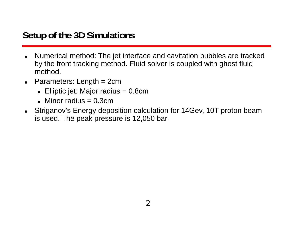# **Setup of the 3D Simulations**

- $\blacksquare$  Numerical method: The jet interface and cavitation bubbles are tracked by the front tracking method. Fluid solver is coupled with ghost fluid method.
- Parameters: Length = 2cm
	- Elliptic jet: Major radius = 0.8cm
	- $\blacksquare$  Minor radius = 0.3cm
- $\blacksquare$  Striganov's Energy deposition calculation for 14Gev, 10T proton beam is used. The peak pressure is 12,050 bar.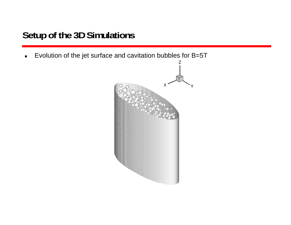# **Setup of the 3D Simulations**

 $\blacksquare$ Evolution of the jet surface and cavitation bubbles for B=5T

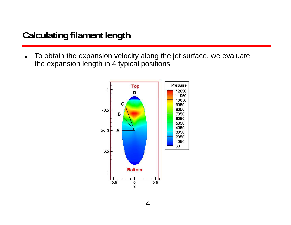### **Calculating filament length**

 $\blacksquare$  To obtain the expansion velocity along the jet surface, we evaluate the expansion length in 4 typical positions.

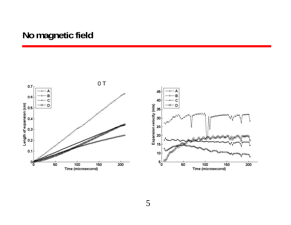#### No magnetic field

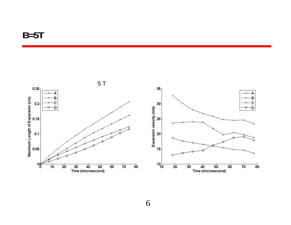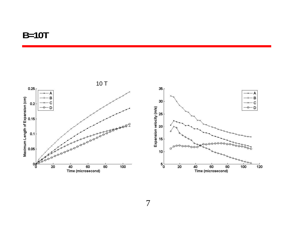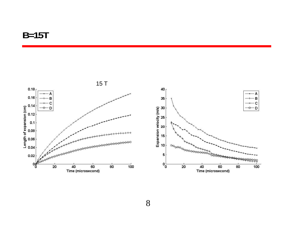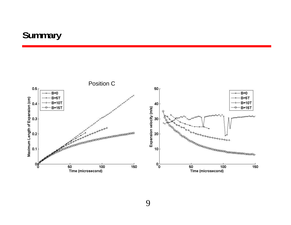### Summary



9